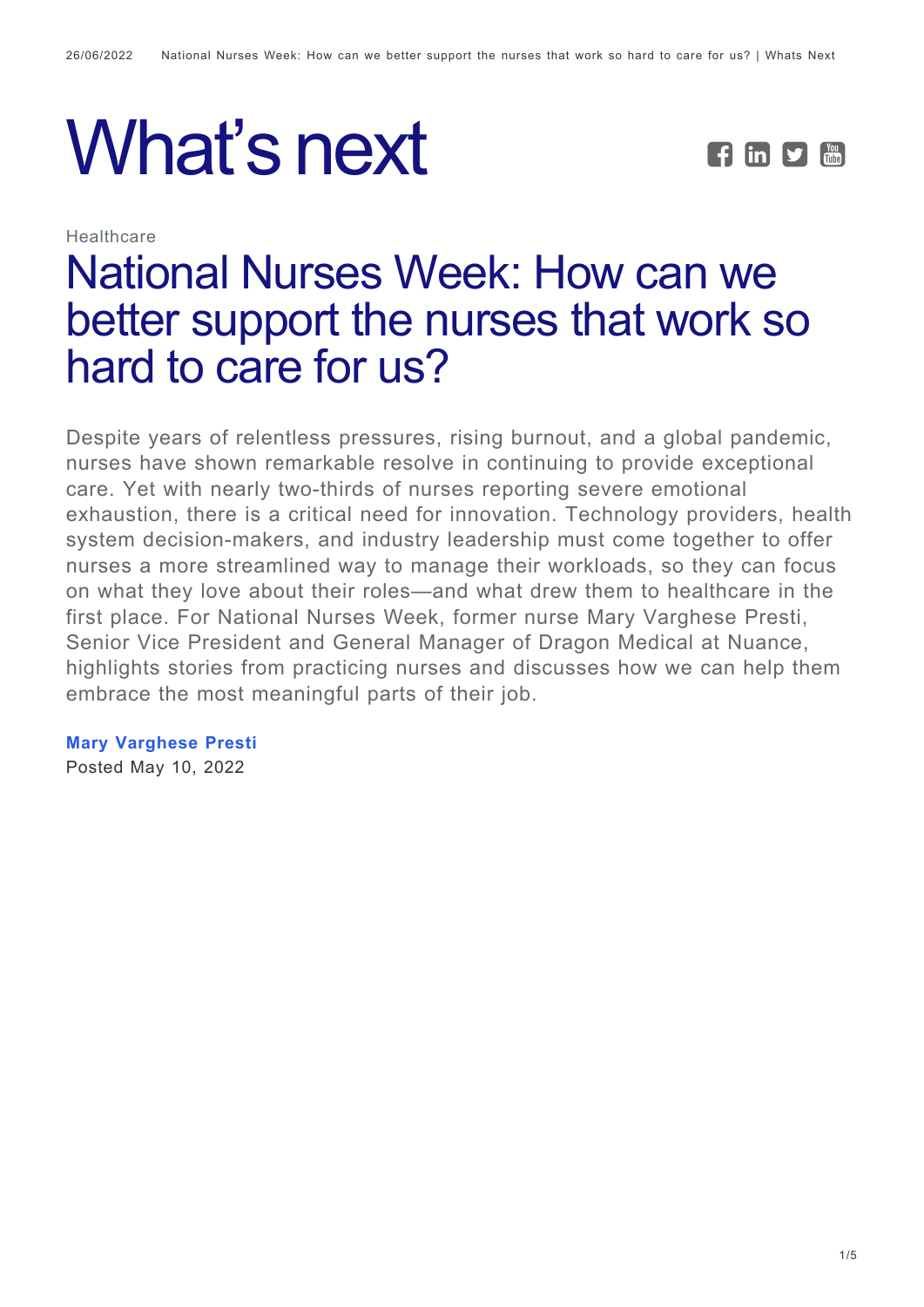# What's next **FEDE**

**Healthcare** 



## [National Nurses Week: How can we](https://whatsnext.nuance.com/healthcare/supporting-nurses-tackling-workflow-challenges/) [better support the nurses that work so](https://whatsnext.nuance.com/healthcare/supporting-nurses-tackling-workflow-challenges/) [hard to care for us?](https://whatsnext.nuance.com/healthcare/supporting-nurses-tackling-workflow-challenges/)

Despite years of relentless pressures, rising burnout, and a global pandemic, nurses have shown remarkable resolve in continuing to provide exceptional care. Yet with nearly two-thirds of nurses reporting severe emotional exhaustion, there is a critical need for innovation. Technology providers, health system decision-makers, and industry leadership must come together to offer nurses a more streamlined way to manage their workloads, so they can focus on what they love about their roles—and what drew them to healthcare in the first place. For National Nurses Week, former nurse Mary Varghese Presti, Senior Vice President and General Manager of Dragon Medical at Nuance, highlights stories from practicing nurses and discusses how we can help them embrace the most meaningful parts of their job.

**[Mary Varghese Presti](https://whatsnext.nuance.com/author/marypresti/)** Posted May 10, 2022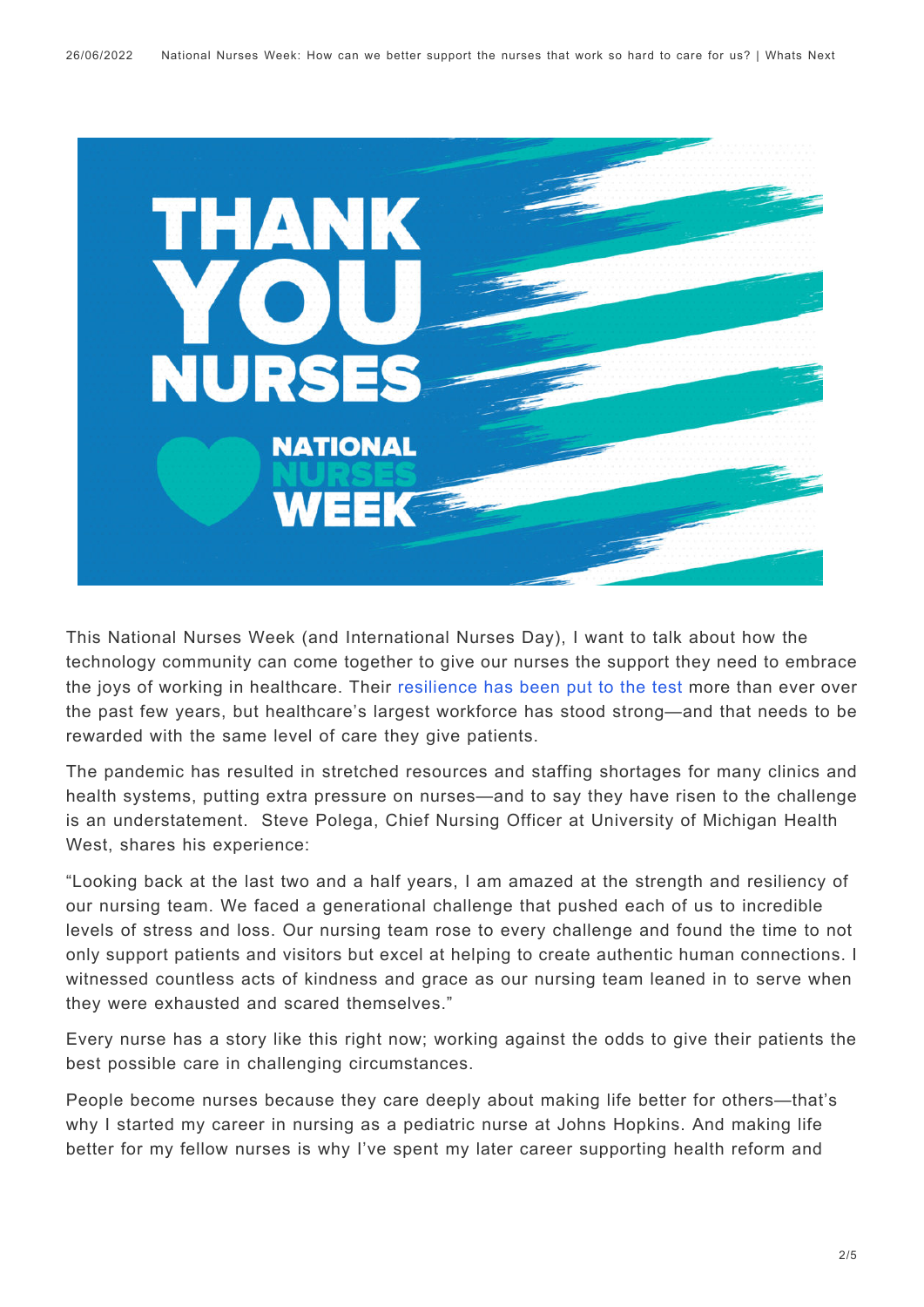

This National Nurses Week (and International Nurses Day), I want to talk about how the technology community can come together to give our nurses the support they need to embrace the joys of working in healthcare. Their [resilience has been put to the test](https://whatsnext.nuance.com/healthcare/celebrating-nurses-week-through-the-voice-of-our-modern-day-super-heroes/) more than ever over the past few years, but healthcare's largest workforce has stood strong—and that needs to be rewarded with the same level of care they give patients.

The pandemic has resulted in stretched resources and staffing shortages for many clinics and health systems, putting extra pressure on nurses—and to say they have risen to the challenge is an understatement. Steve Polega, Chief Nursing Officer at University of Michigan Health West, shares his experience:

"Looking back at the last two and a half years, I am amazed at the strength and resiliency of our nursing team. We faced a generational challenge that pushed each of us to incredible levels of stress and loss. Our nursing team rose to every challenge and found the time to not only support patients and visitors but excel at helping to create authentic human connections. I witnessed countless acts of kindness and grace as our nursing team leaned in to serve when they were exhausted and scared themselves."

Every nurse has a story like this right now; working against the odds to give their patients the best possible care in challenging circumstances.

People become nurses because they care deeply about making life better for others—that's why I started my career in nursing as a pediatric nurse at Johns Hopkins. And making life better for my fellow nurses is why I've spent my later career supporting health reform and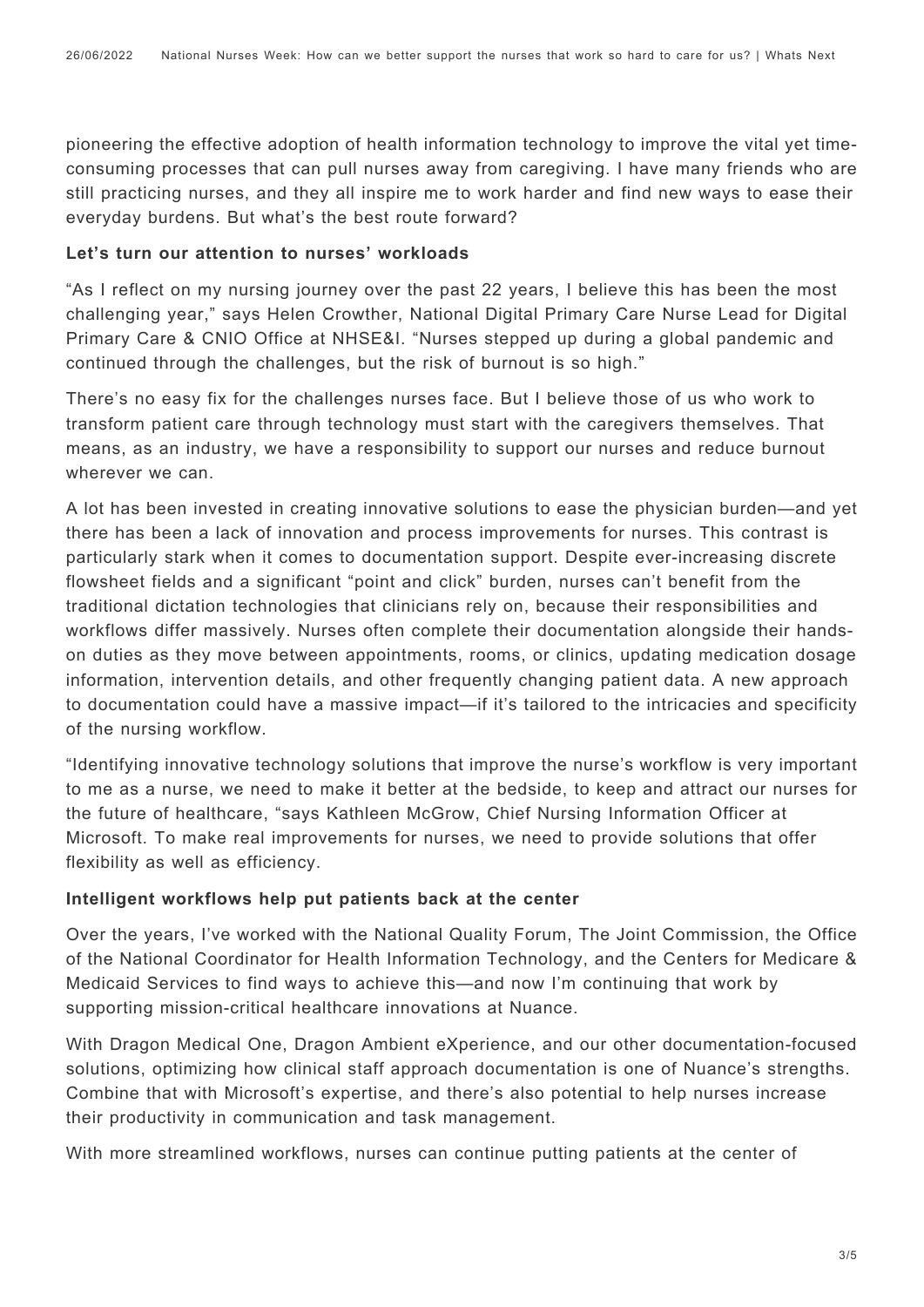pioneering the effective adoption of health information technology to improve the vital yet timeconsuming processes that can pull nurses away from caregiving. I have many friends who are still practicing nurses, and they all inspire me to work harder and find new ways to ease their everyday burdens. But what's the best route forward?

#### **Let's turn our attention to nurses' workloads**

"As I reflect on my nursing journey over the past 22 years, I believe this has been the most challenging year," says Helen Crowther, National Digital Primary Care Nurse Lead for Digital Primary Care & CNIO Office at NHSE&I. "Nurses stepped up during a global pandemic and continued through the challenges, but the risk of burnout is so high."

There's no easy fix for the challenges nurses face. But I believe those of us who work to transform patient care through technology must start with the caregivers themselves. That means, as an industry, we have a responsibility to support our nurses and reduce burnout wherever we can.

A lot has been invested in creating innovative solutions to ease the physician burden—and yet there has been a lack of innovation and process improvements for nurses. This contrast is particularly stark when it comes to documentation support. Despite ever-increasing discrete flowsheet fields and a significant "point and click" burden, nurses can't benefit from the traditional dictation technologies that clinicians rely on, because their responsibilities and workflows differ massively. Nurses often complete their documentation alongside their handson duties as they move between appointments, rooms, or clinics, updating medication dosage information, intervention details, and other frequently changing patient data. A new approach to documentation could have a massive impact—if it's tailored to the intricacies and specificity of the nursing workflow.

"Identifying innovative technology solutions that improve the nurse's workflow is very important to me as a nurse, we need to make it better at the bedside, to keep and attract our nurses for the future of healthcare, "says Kathleen McGrow, Chief Nursing Information Officer at Microsoft. To make real improvements for nurses, we need to provide solutions that offer flexibility as well as efficiency.

#### **Intelligent workflows help put patients back at the center**

Over the years, I've worked with the National Quality Forum, The Joint Commission, the Office of the National Coordinator for Health Information Technology, and the Centers for Medicare & Medicaid Services to find ways to achieve this—and now I'm continuing that work by supporting mission-critical healthcare innovations at Nuance.

With Dragon Medical One, Dragon Ambient eXperience, and our other documentation-focused solutions, optimizing how clinical staff approach documentation is one of Nuance's strengths. Combine that with Microsoft's expertise, and there's also potential to help nurses increase their productivity in communication and task management.

With more streamlined workflows, nurses can continue putting patients at the center of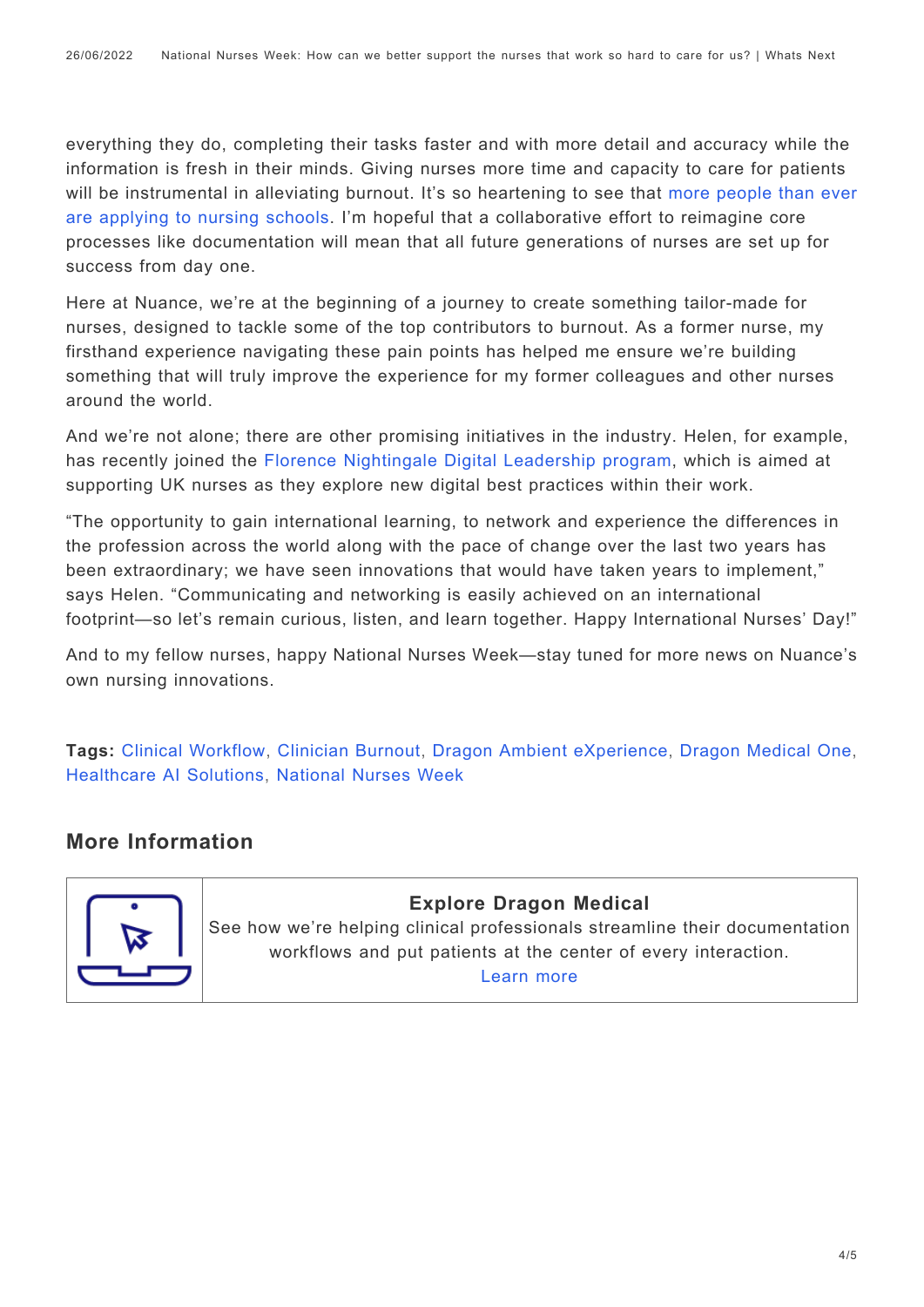everything they do, completing their tasks faster and with more detail and accuracy while the information is fresh in their minds. Giving nurses more time and capacity to care for patients will be instrumental in alleviating burnout. It's so heartening to see that [more people than ever](https://journals.lww.com/ajnonline/Fulltext/2022/02000/Defying_the_Pandemic,_Applications_to_Nursing.10.aspx) [are applying to nursing schools.](https://journals.lww.com/ajnonline/Fulltext/2022/02000/Defying_the_Pandemic,_Applications_to_Nursing.10.aspx) I'm hopeful that a collaborative effort to reimagine core processes like documentation will mean that all future generations of nurses are set up for success from day one.

Here at Nuance, we're at the beginning of a journey to create something tailor-made for nurses, designed to tackle some of the top contributors to burnout. As a former nurse, my firsthand experience navigating these pain points has helped me ensure we're building something that will truly improve the experience for my former colleagues and other nurses around the world.

And we're not alone; there are other promising initiatives in the industry. Helen, for example, has recently joined the [Florence Nightingale Digital Leadership program](https://florence-nightingale-foundation.org.uk/academy/leadership-development/scholarships/), which is aimed at supporting UK nurses as they explore new digital best practices within their work.

"The opportunity to gain international learning, to network and experience the differences in the profession across the world along with the pace of change over the last two years has been extraordinary; we have seen innovations that would have taken years to implement," says Helen. "Communicating and networking is easily achieved on an international footprint—so let's remain curious, listen, and learn together. Happy International Nurses' Day!"

And to my fellow nurses, happy National Nurses Week—stay tuned for more news on Nuance's own nursing innovations.

**Tags:** [Clinical Workflow](https://whatsnext.nuance.com/tag/clinical-workflow/), [Clinician Burnout](https://whatsnext.nuance.com/tag/clinician-burnout-2/), [Dragon Ambient eXperience,](https://whatsnext.nuance.com/tag/dragon-ambient-experience/) [Dragon Medical One](https://whatsnext.nuance.com/tag/dragon-medical-one-2/), [Healthcare AI Solutions,](https://whatsnext.nuance.com/tag/healthcare-ai-solutions-2/) [National Nurses Week](https://whatsnext.nuance.com/tag/national-nurses-week/)

### **More Information**



**Explore Dragon Medical** See how we're helping clinical professionals streamline their documentation workflows and put patients at the center of every interaction. [Learn more](https://www.nuance.com/healthcare/provider-solutions/speech-recognition/dragon-medical-one.html)